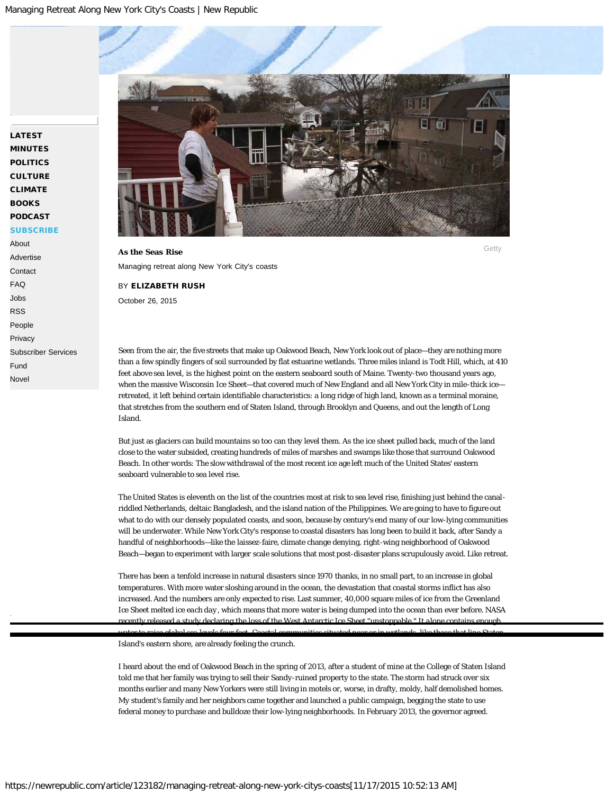# [LATEST](https://newrepublic.com/latest) [MINUTES](https://newrepublic.com/minutes) [POLITICS](https://newrepublic.com/tags/politics) **[CULTURE](https://newrepublic.com/tags/culture)** [CLIMATE](https://newrepublic.com/tags/climate) **[BOOKS](https://newrepublic.com/tags/books)** [PODCAST](https://newrepublic.com/tags/podcast) **[SUBSCRIBE](https://subscriptions.newrepublic.com/servlet/OrdersGateway?cds_mag_code=NUB&cds_page_id=171302&cds_response_key=I49FD)**

# [About](https://newrepublic.com/pages/about)

[Advertise](http://advertise.newrepublic.com/) **[Contact](https://newrepublic.com/pages/contact)** [FAQ](https://newrepublic.com/pages/faq) [Jobs](https://newrepublic.com/pages/about#jobs) [RSS](https://newrepublic.com/pages/rss) [People](https://newrepublic.com/pages/people) [Privacy](https://newrepublic.com/pages/privacy) [Subscriber Services](https://newrepublic.com/pages/subscriber-services) [Fund](https://newrepublic.com/pages/fund) [Novel](http://benovel.co/)

<span id="page-0-0"></span>

# Managing retreat along New York City's coasts

### BY [ELIZABETH RUSH](https://newrepublic.com/authors/elizabeth-rush)

October 26, 2015

Seen from the air, the five streets that make up Oakwood Beach, New York look out of place—they are nothing more than a few spindly fingers of soil surrounded by flat estuarine wetlands. Three miles inland is Todt Hill, which, at 410 feet above sea level, is the highest point on the eastern seaboard south of Maine. Twenty-two thousand years ago, when the massive Wisconsin Ice Sheet—that covered much of New England and all New York City in mile-thick ice retreated, it left behind certain identifiable characteristics: a long ridge of high land, known as a terminal moraine, that stretches from the southern end of Staten Island, through Brooklyn and Queens, and out the length of Long Island.

But just as glaciers can build mountains so too can they level them. As the ice sheet pulled back, much of the land close to the water subsided, creating hundreds of miles of marshes and swamps like those that surround [Oakwood](http://www.nyc.gov/html/sirr/downloads/pdf/final_report/Ch15_Staten_Island_FINAL_singles.pdf) [Beach](http://www.nyc.gov/html/sirr/downloads/pdf/final_report/Ch15_Staten_Island_FINAL_singles.pdf). In other words: The slow withdrawal of the most recent ice age left much of the United States' eastern seaboard vulnerable to sea level rise.

The United States is eleventh on the list of the countries most at risk to sea level rise, finishing just behind the canalriddled Netherlands, deltaic Bangladesh, and the island nation of the Philippines. We are going to have to figure out what to do with our densely populated coasts, and soon, because by century's end many of our low-lying communities will be underwater. While New York City's response to coastal disasters has long been to build it back, after Sandy a handful of neighborhoods—like the laissez-faire, climate change denying, right-wing neighborhood of Oakwood Beach—began to experiment with larger scale solutions that most post-disaster plans scrupulously avoid. Like retreat.

There has been a tenfold increase in natural disasters since 1970 thanks, in no small part, to an [increase in global](http://www.pnas.org/content/110/14/5369.abstract) [temperatures](http://www.pnas.org/content/110/14/5369.abstract). With more water sloshing around in the ocean, the devastation that coastal storms inflict has also increased. And the numbers are only expected to rise. Last summer, 40,000 square miles of ice from the Greenland Ice Sheet melted ice *[each day](http://harpers.org/archive/2015/04/rotten-ice/)*, which means that more water is being dumped into the ocean than ever before. NASA red a study declaring the loss of the West Antarctic Ice Sheet "unstoppable" [water to raise global sea levels four feet. Coastal communities situated near or in wetlands, like those that line Staten](#page-0-0)

Island's eastern shore, are already feeling the crunch.

I heard about the end of Oakwood Beach in the spring of 2013, after a student of mine at the College of Staten Island told me that her family was trying to sell their Sandy-ruined property to the state. The storm had struck over six months earlier and many New Yorkers were still living in motels or, worse, in drafty, moldy, half demolished homes. My student's family and her neighbors came together and launched a public campaign, begging the state to use federal money to purchase and bulldoze their low-lying neighborhoods. In February 2013, the governor agreed.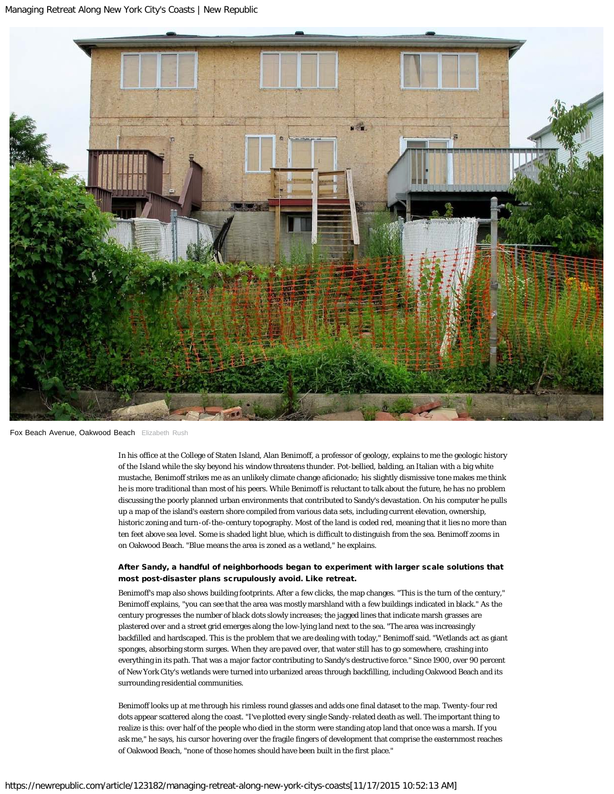

Fox Beach Avenue, Oakwood Beach Elizabeth Rush

In his office at the College of Staten Island, Alan Benimoff, a professor of geology, explains to me the geologic history of the Island while the sky beyond his window threatens thunder. Pot-bellied, balding, an Italian with a big white mustache, Benimoff strikes me as an unlikely climate change aficionado; his slightly dismissive tone makes me think he is more traditional than most of his peers. While Benimoff is reluctant to talk about the future, he has no problem discussing the poorly planned urban environments that contributed to Sandy's devastation. On his computer he pulls up a map of the island's eastern shore compiled from various data sets, including current elevation, ownership, historic zoning and turn-of-the-century topography. Most of the land is coded red, meaning that it lies no more than ten feet above sea level. Some is shaded light blue, which is difficult to distinguish from the sea. Benimoff zooms in on Oakwood Beach. "Blue means the area is zoned as a wetland," he explains.

## After Sandy, a handful of neighborhoods began to experiment with larger scale solutions that most post-disaster plans scrupulously avoid. Like retreat.

Benimoff's map also shows building footprints. After a few clicks, the map changes. "This is the turn of the century," Benimoff explains, "you can see that the area was mostly marshland with a few buildings indicated in black." As the century progresses the number of black dots slowly increases; the jagged lines that indicate marsh grasses are plastered over and a street grid emerges along the low-lying land next to the sea. "The area was increasingly backfilled and [hardscaped](https://en.wikipedia.org/wiki/Hardscape). This is the problem that we are dealing with today," Benimoff said. "Wetlands act as giant sponges, absorbing storm surges. When they are paved over, that water still has to go somewhere, crashing into everything in its path. That was a major factor contributing to Sandy's destructive force." Since 1900, over 90 percent of New York City's wetlands were turned into urbanized areas through [backfilling](https://www.environment.fhwa.dot.gov/strmlng/newsletters/oct12nl.asp), including Oakwood Beach and its surrounding residential communities.

Benimoff looks up at me through his rimless round glasses and adds one final dataset to the map. Twenty-four red dots appear scattered along the coast. "I've plotted every single Sandy-related death as well. The important thing to realize is this: over half of the people who died in the storm were standing atop land that once was a marsh. If you ask me," he says, his cursor hovering over the fragile fingers of development that comprise the easternmost reaches of Oakwood Beach, "none of those homes should have been built in the first place."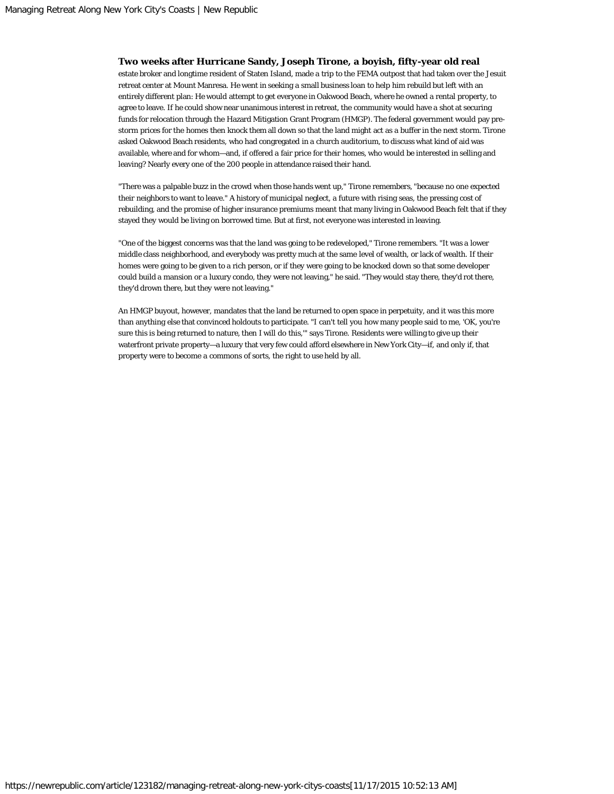# **Two weeks after Hurricane Sandy, Joseph Tirone, a boyish, fifty-year old real**

estate broker and longtime resident of Staten Island, made a trip to the FEMA outpost that had taken over the Jesuit retreat center at Mount Manresa. He went in seeking a small business loan to help him rebuild but left with an entirely different plan: He would attempt to get everyone in Oakwood Beach, where he owned a rental property, to agree to leave. If he could show near unanimous interest in retreat, the community would have a shot at securing funds for relocation through the Hazard Mitigation Grant Program (HMGP). The federal government would pay prestorm prices for the homes then knock them all down so that the land might act as a buffer in the next storm. Tirone asked Oakwood Beach residents, who had congregated in a church auditorium, to discuss what kind of aid was available, where and for whom—and, if offered a fair price for their homes, who would be interested in selling and leaving? Nearly every one of the 200 people in attendance raised their hand.

"There was a palpable buzz in the crowd when those hands went up," Tirone remembers, "because no one expected their neighbors to want to leave." A history of municipal neglect, a future with rising seas, the pressing cost of rebuilding, and the promise of higher insurance premiums meant that many living in Oakwood Beach felt that if they stayed they would be living on borrowed time. But at first, not everyone was interested in leaving.

"One of the biggest concerns was that the land was going to be redeveloped," Tirone remembers. "It was a lower middle class neighborhood, and everybody was pretty much at the same level of wealth, or lack of wealth. If their homes were going to be given to a rich person, or if they were going to be knocked down so that some developer could build a mansion or a luxury condo, they were not leaving," he said. "They would stay there, they'd rot there, they'd drown there, but they were not leaving."

An HMGP buyout, however, mandates that the land be returned to open space in perpetuity, and it was this more than anything else that convinced holdouts to participate. "I can't tell you how many people said to me, 'OK, you're sure this is being returned to nature, then I will do this,'" says Tirone. Residents were willing to give up their waterfront private property—a luxury that very few could afford elsewhere in New York City—if, and only if, that property were to become a commons of sorts, the right to use held by all.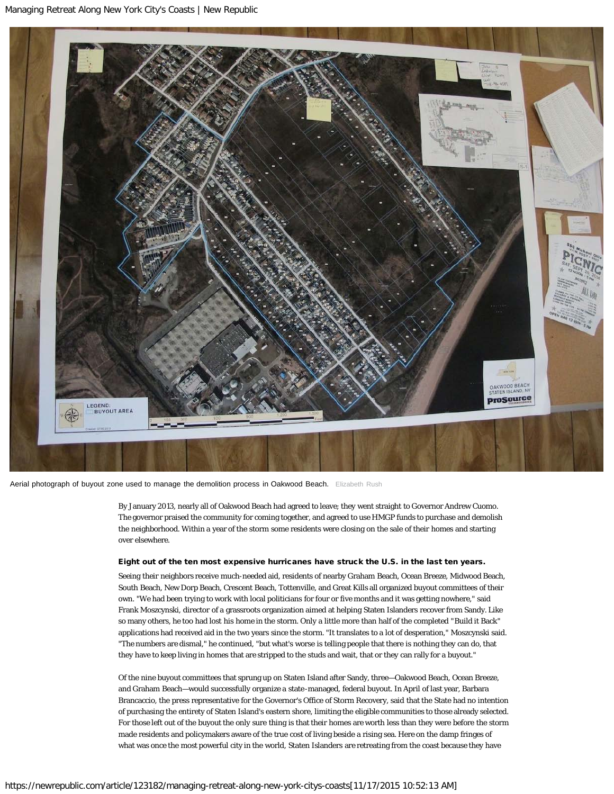

Aerial photograph of buyout zone used to manage the demolition process in Oakwood Beach. Elizabeth Rush

By January 2013, nearly all of Oakwood Beach had agreed to leave; they went straight to Governor Andrew Cuomo. The governor praised the community for coming together, and agreed to use HMGP funds to purchase and demolish the neighborhood. Within a year of the storm some residents were closing on the sale of their homes and starting over elsewhere.

### Eight out of the ten most expensive hurricanes have struck the U.S. in the last ten years.

Seeing their neighbors receive much-needed aid, residents of nearby Graham Beach, Ocean Breeze, Midwood Beach, South Beach, New Dorp Beach, Crescent Beach, Tottenville, and Great Kills all organized buyout committees of their own. "We had been trying to work with local politicians for four or five months and it was getting nowhere," said Frank Moszcynski, director of a grassroots organization aimed at helping Staten Islanders recover from Sandy. Like so many others, he too had lost his home in the storm. Only a little more than half of the completed "[Build it Back](http://www.nyc.gov/html/recovery/html/homeowners/rebuild.shtml)" applications had received aid in the two years since the storm. "It translates to a lot of desperation," Moszcynski said. "The numbers are dismal," he continued, "but what's worse is telling people that there is nothing they can do, that they have to keep living in homes that are stripped to the studs and wait, that or they can rally for a buyout."

Of the nine buyout committees that sprung up on Staten Island after Sandy, three—Oakwood Beach, Ocean Breeze, and Graham Beach—would successfully organize a state-managed, federal buyout. In April of last year, Barbara Brancaccio, the press representative for the Governor's Office of Storm Recovery, said that the State had no intention of purchasing the entirety of Staten Island's eastern shore, limiting the eligible communities to those already selected. For those left out of the buyout the only sure thing is that their homes are worth less than they were before the storm made residents and policymakers aware of the true cost of living beside a rising sea. Here on the damp fringes of what was once the most powerful city in the world, Staten Islanders are retreating from the coast because they have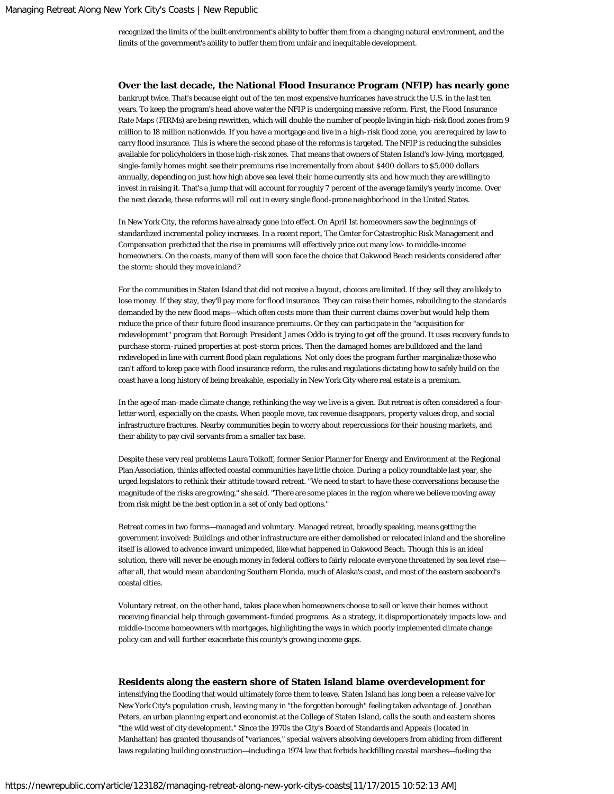recognized the limits of the built environment's ability to buffer them from a changing natural environment, and the limits of the government's ability to buffer them from unfair and inequitable development.

#### **Over the last decade, the National Flood Insurance Program (NFIP) has nearly gone**

bankrupt twice. That's because eight out of the ten most expensive hurricanes have struck the U.S. in the last ten years. To keep the program's head above water the NFIP is undergoing massive reform. First, the Flood Insurance Rate Maps (FIRMs) are being rewritten, which will double the number of people living in high-risk flood zones from 9 million to 18 million nationwide. If you have a mortgage and live in a high-risk flood zone, you are required by law to carry flood insurance. This is where the second phase of the reforms is targeted. The NFIP is reducing the subsidies available for policyholders in those high-risk zones. That means that owners of Staten Island's low-lying, mortgaged, single-family homes might see their premiums rise incrementally from about \$400 dollars to \$5,000 dollars annually, depending on just how high above sea level their home currently sits and how much they are willing to invest in raising it. That's a jump that will account for roughly 7 percent of the average family's yearly [income.](http://www.rand.org/content/dam/rand/pubs/research_reports/RR300/RR328/RAND_RR328.pdf) Over the next decade, these reforms will roll out in every single flood-prone neighborhood in the United States.

In New York City, the reforms have already gone into effect. On April 1st homeowners saw the beginnings of standardized incremental policy increases. In a recent report, The Center for Catastrophic Risk Management and Compensation predicted that the rise in premiums will effectively price out many low- to middle-income homeowners. On the coasts, many of them will soon face the choice that Oakwood Beach residents considered after the storm: should they move inland?

For the communities in Staten Island that did not receive a buyout, choices are limited. If they sell they are likely to lose money. If they stay, they'll pay more for flood insurance. They can raise their homes, rebuilding to the standards demanded by the new flood maps—which often costs more than their current claims cover but would help them reduce the price of their future flood insurance premiums. Or they can participate in the "acquisition for redevelopment" program that Borough President James Oddo is trying to get off the ground. It uses recovery funds to purchase storm-ruined properties at post-storm prices. Then the damaged homes are bulldozed and the land redeveloped in line with current flood plain regulations. Not only does the program further marginalize those who can't afford to keep pace with flood insurance reform, the rules and regulations dictating how to safely build on the coast have a long history of being breakable, especially in New York City where real estate is a premium.

In the age of man-made climate change, rethinking the way we live is a given. But retreat is often considered a fourletter word, especially on the coasts. When people move, tax revenue disappears, property values drop, and social infrastructure fractures. Nearby communities begin to worry about repercussions for their housing markets, and their ability to pay civil servants from a smaller tax base.

Despite these very real problems Laura Tolkoff, former Senior Planner for Energy and Environment at the Regional Plan Association, thinks affected coastal communities have little choice. During a policy roundtable last year, she urged legislators to rethink their attitude toward retreat. "We need to start to have these conversations because the magnitude of the risks are growing," she said. "There are some places in the region where we believe moving away from risk might be the best option in a set of only bad options."

Retreat comes in two forms—managed and voluntary. Managed retreat, broadly speaking, means getting the government involved: Buildings and other infrastructure are either demolished or relocated inland and the shoreline itself is allowed to advance inward unimpeded, like what happened in Oakwood Beach. Though this is an ideal solution, there will never be enough money in federal coffers to fairly relocate everyone threatened by sea level rise after all, that would mean abandoning Southern Florida, much of Alaska's coast, and most of the eastern seaboard's coastal cities.

Voluntary retreat, on the other hand, takes place when homeowners choose to sell or leave their homes without receiving financial help through government-funded programs. As a strategy, it disproportionately impacts low- and middle-income homeowners with mortgages, highlighting the ways in which poorly implemented climate change policy can and will further exacerbate this county's growing income gaps.

#### **Residents along the eastern shore of Staten Island blame overdevelopment for**

intensifying the flooding that would ultimately force them to leave. Staten Island has long been a release valve for New York City's population crush, leaving many in "the forgotten borough" feeling taken advantage of. Jonathan Peters, an urban planning expert and economist at the College of Staten Island, calls the south and eastern shores "the wild west of city development." Since the 1970s the City's Board of Standards and Appeals (located in Manhattan) has granted thousands of "variances," special waivers absolving developers from abiding from different laws regulating building construction—including a 1974 law that forbids backfilling coastal marshes—fueling the